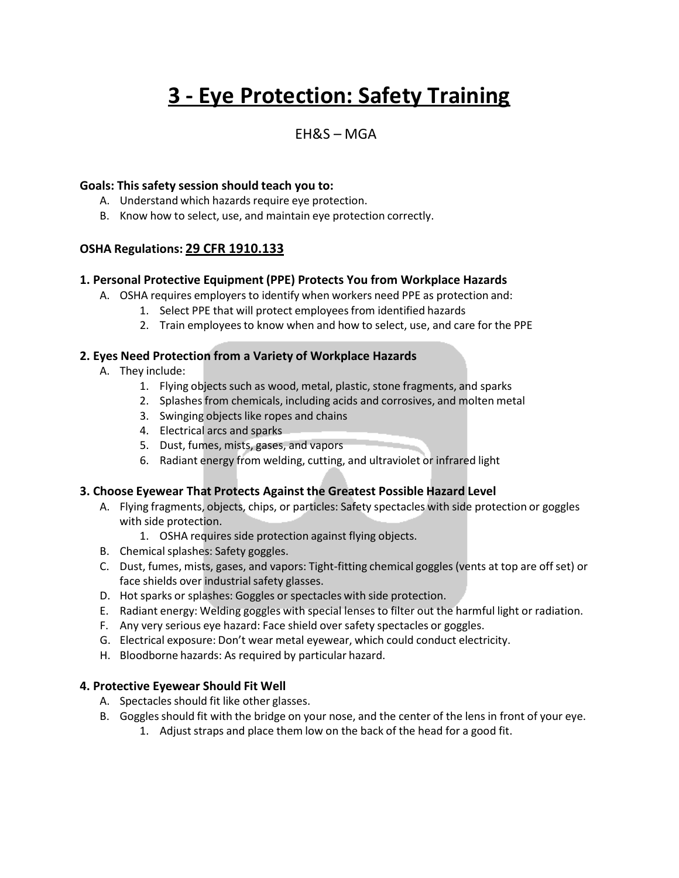# **3 - Eye Protection: Safety Training**

### EH&S – MGA

#### **Goals: This safety session should teach you to:**

- A. Understand which hazards require eye protection.
- B. Know how to select, use, and maintain eye protection correctly.

#### **OSHA Regulations: 29 CFR 1910.133**

#### **1. Personal Protective Equipment (PPE) Protects You from Workplace Hazards**

- A. OSHA requires employers to identify when workers need PPE as protection and:
	- 1. Select PPE that will protect employees from identified hazards
	- 2. Train employees to know when and how to select, use, and care for the PPE

#### **2. Eyes Need Protection from a Variety of Workplace Hazards**

- A. They include:
	- 1. Flying objects such as wood, metal, plastic, stone fragments, and sparks
	- 2. Splashes from chemicals, including acids and corrosives, and molten metal
	- 3. Swinging objects like ropes and chains
	- 4. Electrical arcs and sparks
	- 5. Dust, fumes, mists, gases, and vapors
	- 6. Radiant energy from welding, cutting, and ultraviolet or infrared light

#### **3. Choose Eyewear That Protects Against the Greatest Possible Hazard Level**

- A. Flying fragments, objects, chips, or particles: Safety spectacles with side protection or goggles with side protection.
	- 1. OSHA requires side protection against flying objects.
- B. Chemical splashes: Safety goggles.
- C. Dust, fumes, mists, gases, and vapors: Tight-fitting chemical goggles (vents at top are off set) or face shields over industrial safety glasses.
- D. Hot sparks or splashes: Goggles or spectacles with side protection.
- E. Radiant energy: Welding goggles with special lenses to filter out the harmful light or radiation.
- F. Any very serious eye hazard: Face shield over safety spectacles or goggles.
- G. Electrical exposure: Don't wear metal eyewear, which could conduct electricity.
- H. Bloodborne hazards: As required by particular hazard.

#### **4. Protective Eyewear Should Fit Well**

- A. Spectacles should fit like other glasses.
- B. Goggles should fit with the bridge on your nose, and the center of the lens in front of your eye.
	- 1. Adjust straps and place them low on the back of the head for a good fit.